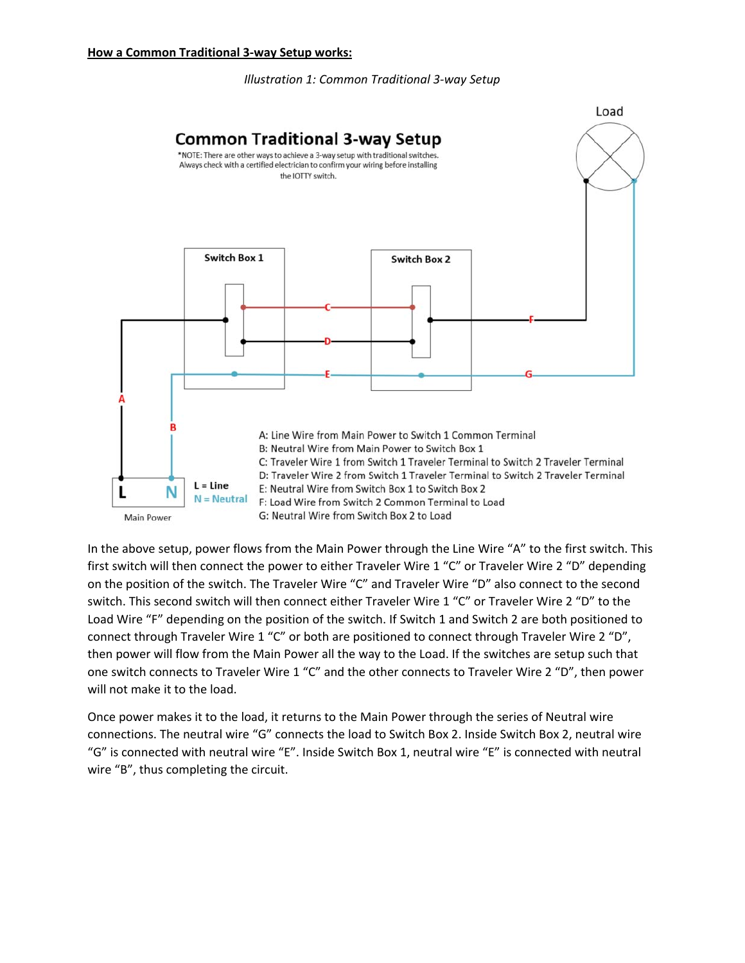### *Illustration 1: Common Traditional 3‐way Setup*



In the above setup, power flows from the Main Power through the Line Wire "A" to the first switch. This first switch will then connect the power to either Traveler Wire 1 "C" or Traveler Wire 2 "D" depending on the position of the switch. The Traveler Wire "C" and Traveler Wire "D" also connect to the second switch. This second switch will then connect either Traveler Wire 1 "C" or Traveler Wire 2 "D" to the Load Wire "F" depending on the position of the switch. If Switch 1 and Switch 2 are both positioned to connect through Traveler Wire 1 "C" or both are positioned to connect through Traveler Wire 2 "D", then power will flow from the Main Power all the way to the Load. If the switches are setup such that one switch connects to Traveler Wire 1 "C" and the other connects to Traveler Wire 2 "D", then power will not make it to the load.

Once power makes it to the load, it returns to the Main Power through the series of Neutral wire connections. The neutral wire "G" connects the load to Switch Box 2. Inside Switch Box 2, neutral wire "G" is connected with neutral wire "E". Inside Switch Box 1, neutral wire "E" is connected with neutral wire "B", thus completing the circuit.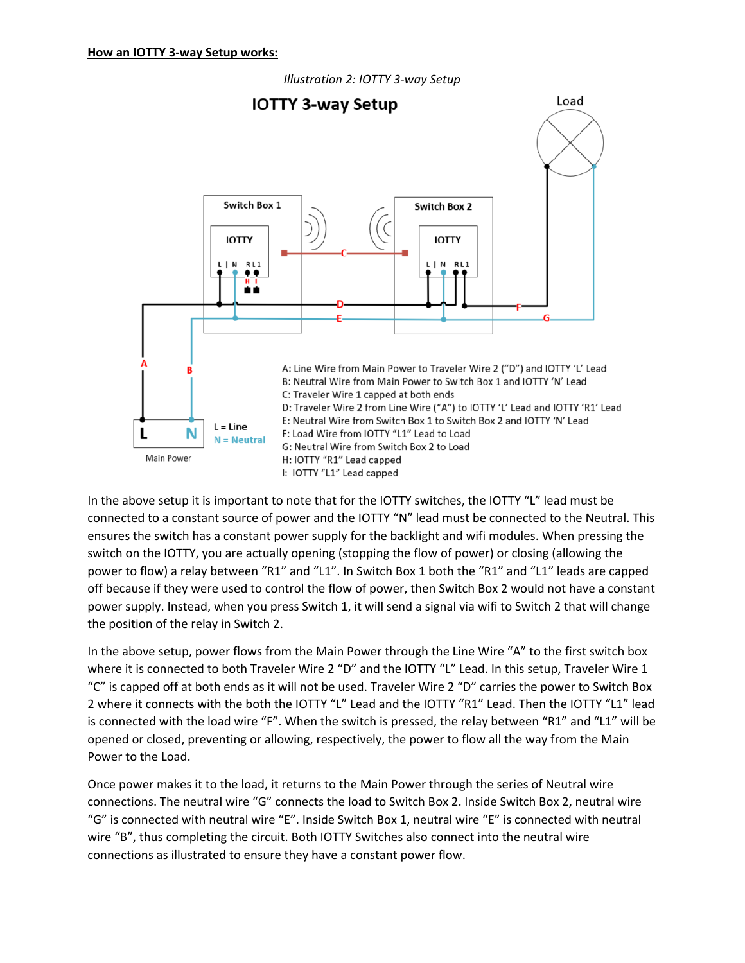

In the above setup it is important to note that for the IOTTY switches, the IOTTY "L" lead must be connected to a constant source of power and the IOTTY "N" lead must be connected to the Neutral. This ensures the switch has a constant power supply for the backlight and wifi modules. When pressing the switch on the IOTTY, you are actually opening (stopping the flow of power) or closing (allowing the power to flow) a relay between "R1" and "L1". In Switch Box 1 both the "R1" and "L1" leads are capped off because if they were used to control the flow of power, then Switch Box 2 would not have a constant power supply. Instead, when you press Switch 1, it will send a signal via wifi to Switch 2 that will change the position of the relay in Switch 2.

In the above setup, power flows from the Main Power through the Line Wire "A" to the first switch box where it is connected to both Traveler Wire 2 "D" and the IOTTY "L" Lead. In this setup, Traveler Wire 1 "C" is capped off at both ends as it will not be used. Traveler Wire 2 "D" carries the power to Switch Box 2 where it connects with the both the IOTTY "L" Lead and the IOTTY "R1" Lead. Then the IOTTY "L1" lead is connected with the load wire "F". When the switch is pressed, the relay between "R1" and "L1" will be opened or closed, preventing or allowing, respectively, the power to flow all the way from the Main Power to the Load.

Once power makes it to the load, it returns to the Main Power through the series of Neutral wire connections. The neutral wire "G" connects the load to Switch Box 2. Inside Switch Box 2, neutral wire "G" is connected with neutral wire "E". Inside Switch Box 1, neutral wire "E" is connected with neutral wire "B", thus completing the circuit. Both IOTTY Switches also connect into the neutral wire connections as illustrated to ensure they have a constant power flow.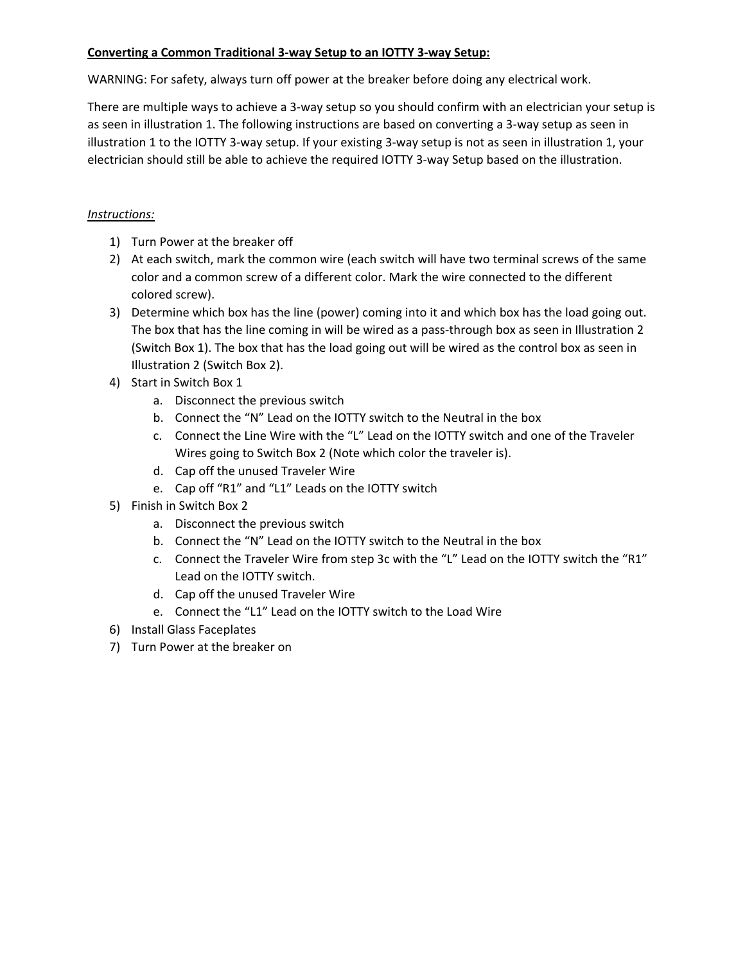# **Converting a Common Traditional 3‐way Setup to an IOTTY 3‐way Setup:**

WARNING: For safety, always turn off power at the breaker before doing any electrical work.

There are multiple ways to achieve a 3‐way setup so you should confirm with an electrician your setup is as seen in illustration 1. The following instructions are based on converting a 3‐way setup as seen in illustration 1 to the IOTTY 3‐way setup. If your existing 3‐way setup is not as seen in illustration 1, your electrician should still be able to achieve the required IOTTY 3‐way Setup based on the illustration.

# *Instructions:*

- 1) Turn Power at the breaker off
- 2) At each switch, mark the common wire (each switch will have two terminal screws of the same color and a common screw of a different color. Mark the wire connected to the different colored screw).
- 3) Determine which box has the line (power) coming into it and which box has the load going out. The box that has the line coming in will be wired as a pass-through box as seen in Illustration 2 (Switch Box 1). The box that has the load going out will be wired as the control box as seen in Illustration 2 (Switch Box 2).
- 4) Start in Switch Box 1
	- a. Disconnect the previous switch
	- b. Connect the "N" Lead on the IOTTY switch to the Neutral in the box
	- c. Connect the Line Wire with the "L" Lead on the IOTTY switch and one of the Traveler Wires going to Switch Box 2 (Note which color the traveler is).
	- d. Cap off the unused Traveler Wire
	- e. Cap off "R1" and "L1" Leads on the IOTTY switch
- 5) Finish in Switch Box 2
	- a. Disconnect the previous switch
	- b. Connect the "N" Lead on the IOTTY switch to the Neutral in the box
	- c. Connect the Traveler Wire from step 3c with the "L" Lead on the IOTTY switch the "R1" Lead on the IOTTY switch.
	- d. Cap off the unused Traveler Wire
	- e. Connect the "L1" Lead on the IOTTY switch to the Load Wire
- 6) Install Glass Faceplates
- 7) Turn Power at the breaker on